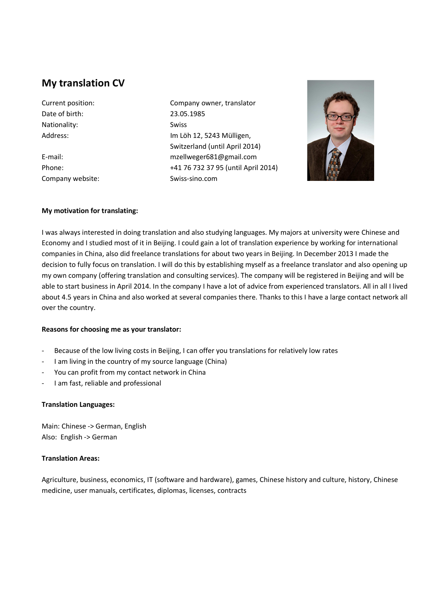# **My translation CV**

Date of birth: 23.05.1985 Nationality: Swiss

Company website: Swiss-sino.com

Current position: Company owner, translator Address: Mathematic School (Im Löh 12, 5243 Mülligen, Switzerland (until April 2014) E-mail: mzellweger681@gmail.com Phone: +41 76 732 37 95 (until April 2014)



### **My motivation for translating:**

I was always interested in doing translation and also studying languages. My majors at university were Chinese and Economy and I studied most of it in Beijing. I could gain a lot of translation experience by working for international companies in China, also did freelance translations for about two years in Beijing. In December 2013 I made the decision to fully focus on translation. I will do this by establishing myself as a freelance translator and also opening up my own company (offering translation and consulting services). The company will be registered in Beijing and will be able to start business in April 2014. In the company I have a lot of advice from experienced translators. All in all I lived about 4.5 years in China and also worked at several companies there. Thanks to this I have a large contact network all over the country.

#### **Reasons for choosing me as your translator:**

- Because of the low living costs in Beijing, I can offer you translations for relatively low rates
- I am living in the country of my source language (China)
- You can profit from my contact network in China
- I am fast, reliable and professional

# **Translation Languages:**

Main: Chinese -> German, English Also: English -> German

# **Translation Areas:**

Agriculture, business, economics, IT (software and hardware), games, Chinese history and culture, history, Chinese medicine, user manuals, certificates, diplomas, licenses, contracts